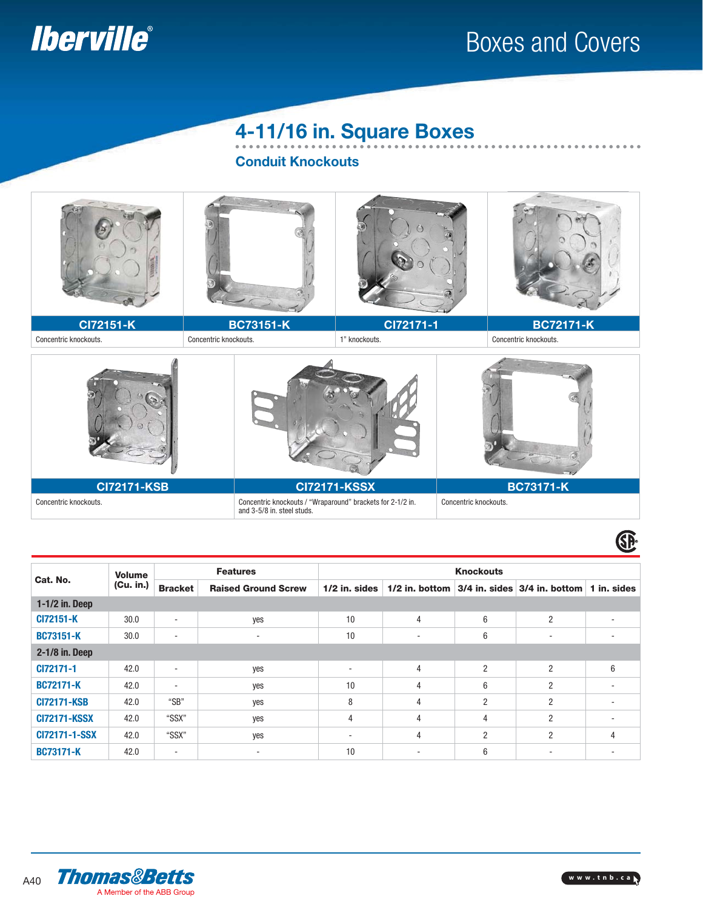

## Boxes and Covers

 $- - - - -$ 

#### **4-11/16 in. Square Boxes**

**Conduit Knockouts**



| Cat. No.             | <b>Volume</b><br>(Cu. in.) | <b>Features</b>            |                          | <b>Knockouts</b>                                           |                |                |                          |             |  |
|----------------------|----------------------------|----------------------------|--------------------------|------------------------------------------------------------|----------------|----------------|--------------------------|-------------|--|
|                      |                            | <b>Raised Ground Screw</b> |                          | $1/2$ in. bottom<br>$ 3/4$ in, sides $ 3/4$ in, bottom $ $ |                |                |                          |             |  |
|                      |                            | <b>Bracket</b>             |                          | $1/2$ in. sides                                            |                |                |                          | 1 in. sides |  |
| $1-1/2$ in. Deep     |                            |                            |                          |                                                            |                |                |                          |             |  |
| CI72151-K            | 30.0                       | $\sim$                     | yes                      | 10                                                         | $\overline{4}$ | 6              | $\overline{2}$           | ۰           |  |
| <b>BC73151-K</b>     | 30.0                       | ۰                          | $\overline{\phantom{a}}$ | 10                                                         | ۰              | 6              | $\overline{\phantom{a}}$ | ۰           |  |
| 2-1/8 in. Deep       |                            |                            |                          |                                                            |                |                |                          |             |  |
| CI72171-1            | 42.0                       | ۰                          | yes                      | $\overline{\phantom{a}}$                                   | $\overline{4}$ | $\overline{2}$ | $\overline{2}$           | 6           |  |
| <b>BC72171-K</b>     | 42.0                       | ۰                          | yes                      | 10                                                         | $\overline{4}$ | 6              | $\overline{2}$           | ۰           |  |
| <b>CI72171-KSB</b>   | 42.0                       | "SB"                       | yes                      | 8                                                          | 4              | $\overline{c}$ | $\overline{c}$           | ۰           |  |
| <b>CI72171-KSSX</b>  | 42.0                       | "SSX"                      | yes                      | 4                                                          | 4              | 4              | $\overline{2}$           | ۰           |  |
| <b>CI72171-1-SSX</b> | 42.0                       | "SSX"                      | yes                      | $\sim$                                                     | 4              | $\overline{2}$ | $\overline{2}$           | 4           |  |
| <b>BC73171-K</b>     | 42.0                       | ٠                          | $\overline{\phantom{a}}$ | 10                                                         | ٠              | 6              | $\overline{\phantom{a}}$ | ۰           |  |